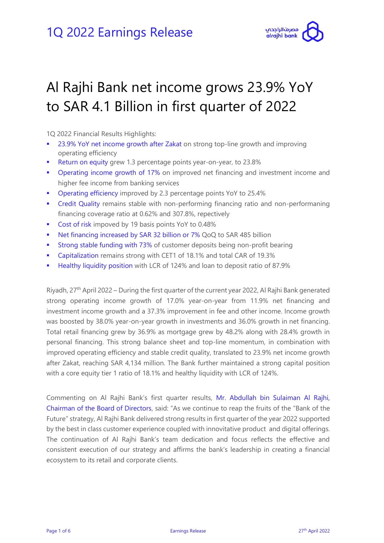

# Al Rajhi Bank net income grows 23.9% YoY to SAR 4.1 Billion in first quarter of 2022

1Q 2022 Financial Results Highlights:

- 23.9% YoY net income growth after Zakat on strong top-line growth and improving operating efficiency
- **Return on equity grew 1.3 percentage points year-on-year, to 23.8%**
- **Operating income growth of 17% on improved net financing and investment income and** higher fee income from banking services
- Operating efficiency improved by 2.3 percentage points YoY to 25.4%
- Credit Quality remains stable with non-performing financing ratio and non-performaning financing coverage ratio at 0.62% and 307.8%, repectively
- Cost of risk impoved by 19 basis points YoY to 0.48%
- Net financing increased by SAR 32 billion or 7% QoQ to SAR 485 billion
- **Strong stable funding with 73% of customer deposits being non-profit bearing**
- Capitalization remains strong with CET1 of 18.1% and total CAR of 19.3%
- **Healthy liquidity position with LCR of 124% and loan to deposit ratio of 87.9%**

Riyadh, 27<sup>th</sup> April 2022 – During the first quarter of the current year 2022, Al Rajhi Bank generated strong operating income growth of 17.0% year-on-year from 11.9% net financing and investment income growth and a 37.3% improvement in fee and other income. Income growth was boosted by 38.0% year-on-year growth in investments and 36.0% growth in net financing. Total retail financing grew by 36.9% as mortgage grew by 48.2% along with 28.4% growth in personal financing. This strong balance sheet and top-line momentum, in combination with improved operating efficiency and stable credit quality, translated to 23.9% net income growth after Zakat, reaching SAR 4,134 million. The Bank further maintained a strong capital position with a core equity tier 1 ratio of 18.1% and healthy liquidity with LCR of 124%.

Commenting on Al Rajhi Bank's first quarter results, Mr. Abdullah bin Sulaiman Al Rajhi, Chairman of the Board of Directors, said: "As we continue to reap the fruits of the "Bank of the Future" strategy, Al Rajhi Bank delivered strong results in first quarter of the year 2022 supported by the best in class customer experience coupled with innovitative product and digital offerings. The continuation of Al Rajhi Bank's team dedication and focus reflects the effective and consistent execution of our strategy and affirms the bank's leadership in creating a financial ecosystem to its retail and corporate clients.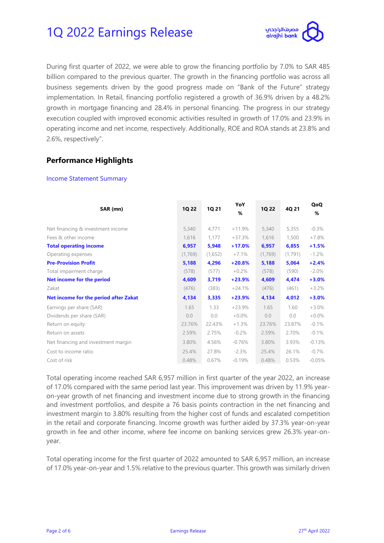

During first quarter of 2022, we were able to grow the financing portfolio by 7.0% to SAR 485 billion compared to the previous quarter. The growth in the financing portfolio was across all business segements driven by the good progress made on "Bank of the Future" strategy implementation. In Retail, financing portfolio registered a growth of 36.9% driven by a 48.2% growth in mortgage financing and 28.4% in personal financing. The progress in our strategy execution coupled with improved economic activities resulted in growth of 17.0% and 23.9% in operating income and net income, respectively. Additionally, ROE and ROA stands at 23.8% and 2.6%, respectively".

### **Performance Highlights**

#### Income Statement Summary

| SAR (mn)                                     | 1Q 22   | <b>1Q 21</b> | YoY<br>% | <b>1Q 22</b> | 4Q 21   | QoQ<br>% |
|----------------------------------------------|---------|--------------|----------|--------------|---------|----------|
|                                              |         |              |          |              |         |          |
| Net financing & investment income            | 5,340   | 4,771        | $+11.9%$ | 5,340        | 5,355   | $-0.3\%$ |
| Fees & other income                          | 1,616   | 1,177        | $+37.3%$ | 1,616        | 1,500   | $+7.8%$  |
| <b>Total operating income</b>                | 6,957   | 5,948        | $+17.0%$ | 6,957        | 6,855   | $+1.5%$  |
| Operating expenses                           | (1,769) | (1,652)      | $+7.1%$  | (1,769)      | (1,791) | $-1.2%$  |
| <b>Pre-Provision Profit</b>                  | 5,188   | 4,296        | $+20.8%$ | 5,188        | 5,064   | $+2.4%$  |
| Total impairment charge                      | (578)   | (577)        | $+0.2%$  | (578)        | (590)   | $-2.0\%$ |
| Net income for the period                    | 4,609   | 3,719        | $+23.9%$ | 4,609        | 4,474   | $+3.0%$  |
| Zakat                                        | (476)   | (383)        | $+24.1%$ | (476)        | (461)   | $+3.2%$  |
| <b>Net income for the period after Zakat</b> | 4,134   | 3,335        | $+23.9%$ | 4,134        | 4,012   | $+3.0%$  |
| Earnings per share (SAR)                     | 1.65    | 1.33         | $+23.9%$ | 1.65         | 1.60    | $+3.0%$  |
| Dividends per share (SAR)                    | 0.0     | 0.0          | $+0.0%$  | 0.0          | 0.0     | $+0.0\%$ |
| Return on equity                             | 23.76%  | 22.43%       | $+1.3%$  | 23.76%       | 23.87%  | $-0.1%$  |
| Return on assets                             | 2.59%   | 2.75%        | $-0.2%$  | 2.59%        | 2.70%   | $-0.1\%$ |
| Net financing and investment margin          | 3.80%   | 4.56%        | $-0.76%$ | 3.80%        | 3.93%   | $-0.13%$ |
| Cost to income ratio                         | 25.4%   | 27.8%        | $-2.3%$  | 25.4%        | 26.1%   | $-0.7\%$ |
| Cost of risk                                 | 0.48%   | 0.67%        | $-0.19%$ | 0.48%        | 0.53%   | $-0.05%$ |

Total operating income reached SAR 6,957 million in first quarter of the year 2022, an increase of 17.0% compared with the same period last year. This improvement was driven by 11.9% yearon-year growth of net financing and investment income due to strong growth in the financing and investment portfolios, and despite a 76 basis points contraction in the net financing and investment margin to 3.80% resulting from the higher cost of funds and escalated competition in the retail and corporate financing. Income growth was further aided by 37.3% year-on-year growth in fee and other income, where fee income on banking services grew 26.3% year-onyear.

Total operating income for the first quarter of 2022 amounted to SAR 6,957 million, an increase of 17.0% year-on-year and 1.5% relative to the previous quarter. This growth was similarly driven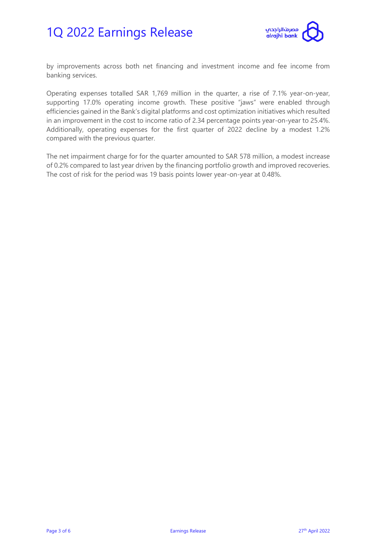

by improvements across both net financing and investment income and fee income from banking services.

Operating expenses totalled SAR 1,769 million in the quarter, a rise of 7.1% year-on-year, supporting 17.0% operating income growth. These positive "jaws" were enabled through efficiencies gained in the Bank's digital platforms and cost optimization initiatives which resulted in an improvement in the cost to income ratio of 2.34 percentage points year-on-year to 25.4%. Additionally, operating expenses for the first quarter of 2022 decline by a modest 1.2% compared with the previous quarter.

The net impairment charge for for the quarter amounted to SAR 578 million, a modest increase of 0.2% compared to last year driven by the financing portfolio growth and improved recoveries. The cost of risk for the period was 19 basis points lower year-on-year at 0.48%.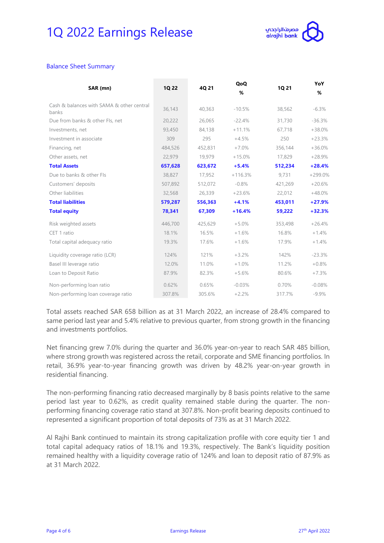

#### Balance Sheet Summary

| SAR (mn)                                           | 1Q 22   | 4Q 21   | QoQ<br>%  | 1Q 21   | YoY<br>%  |
|----------------------------------------------------|---------|---------|-----------|---------|-----------|
| Cash & balances with SAMA & other central<br>banks | 36,143  | 40,363  | $-10.5%$  | 38,562  | $-6.3%$   |
| Due from banks & other Fls, net                    | 20,222  | 26,065  | $-22.4%$  | 31,730  | $-36.3%$  |
| Investments, net                                   | 93,450  | 84,138  | $+11.1%$  | 67.718  | $+38.0%$  |
| Investment in associate                            | 309     | 295     | $+4.5%$   | 250     | $+23.3%$  |
| Financing, net                                     | 484,526 | 452,831 | $+7.0%$   | 356,144 | $+36.0%$  |
| Other assets, net                                  | 22,979  | 19,979  | $+15.0%$  | 17,829  | $+28.9%$  |
| <b>Total Assets</b>                                | 657,628 | 623,672 | $+5.4%$   | 512,234 | $+28.4%$  |
| Due to banks & other Fls                           | 38,827  | 17,952  | $+116.3%$ | 9,731   | $+299.0%$ |
| Customers' deposits                                | 507,892 | 512,072 | $-0.8%$   | 421,269 | $+20.6%$  |
| Other liabilities                                  | 32,568  | 26,339  | $+23.6%$  | 22,012  | $+48.0%$  |
| <b>Total liabilities</b>                           | 579,287 | 556,363 | $+4.1%$   | 453,011 | $+27.9%$  |
| <b>Total equity</b>                                | 78,341  | 67,309  | $+16.4%$  | 59,222  | $+32.3%$  |
| Risk weighted assets                               | 446,700 | 425,629 | $+5.0%$   | 353,498 | $+26.4%$  |
| CET 1 ratio                                        | 18.1%   | 16.5%   | $+1.6%$   | 16.8%   | $+1.4%$   |
| Total capital adequacy ratio                       | 19.3%   | 17.6%   | $+1.6%$   | 17.9%   | $+1.4%$   |
| Liquidity coverage ratio (LCR)                     | 124%    | 121%    | $+3.2%$   | 142%    | $-23.3%$  |
| Basel III leverage ratio                           | 12.0%   | 11.0%   | $+1.0%$   | 11.2%   | $+0.8%$   |
| Loan to Deposit Ratio                              | 87.9%   | 82.3%   | $+5.6%$   | 80.6%   | $+7.3%$   |
| Non-performing loan ratio                          | 0.62%   | 0.65%   | $-0.03%$  | 0.70%   | $-0.08%$  |
| Non-performing loan coverage ratio                 | 307.8%  | 305.6%  | $+2.2%$   | 317.7%  | $-9.9\%$  |

Total assets reached SAR 658 billion as at 31 March 2022, an increase of 28.4% compared to same period last year and 5.4% relative to previous quarter, from strong growth in the financing and investments portfolios.

Net financing grew 7.0% during the quarter and 36.0% year-on-year to reach SAR 485 billion, where strong growth was registered across the retail, corporate and SME financing portfolios. In retail, 36.9% year-to-year financing growth was driven by 48.2% year-on-year growth in residential financing.

The non-performing financing ratio decreased marginally by 8 basis points relative to the same period last year to 0.62%, as credit quality remained stable during the quarter. The nonperforming financing coverage ratio stand at 307.8%. Non-profit bearing deposits continued to represented a significant proportion of total deposits of 73% as at 31 March 2022.

Al Rajhi Bank continued to maintain its strong capitalization profile with core equity tier 1 and total capital adequacy ratios of 18.1% and 19.3%, respectively. The Bank's liquidity position remained healthy with a liquidity coverage ratio of 124% and loan to deposit ratio of 87.9% as at 31 March 2022.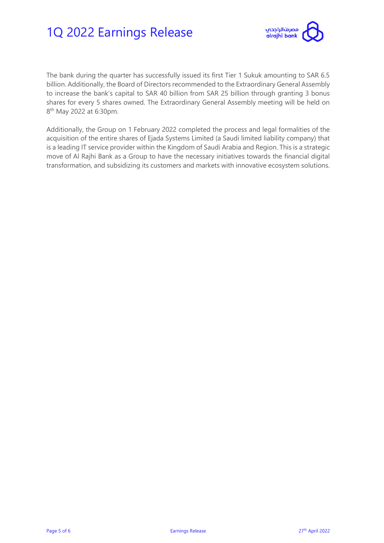

The bank during the quarter has successfully issued its first Tier 1 Sukuk amounting to SAR 6.5 billion. Additionally, the Board of Directors recommended to the Extraordinary General Assembly to increase the bank's capital to SAR 40 billion from SAR 25 billion through granting 3 bonus shares for every 5 shares owned. The Extraordinary General Assembly meeting will be held on 8<sup>th</sup> May 2022 at 6:30pm.

Additionally, the Group on 1 February 2022 completed the process and legal formalities of the acquisition of the entire shares of Ejada Systems Limited (a Saudi limited liability company) that is a leading IT service provider within the Kingdom of Saudi Arabia and Region. This is a strategic move of Al Rajhi Bank as a Group to have the necessary initiatives towards the financial digital transformation, and subsidizing its customers and markets with innovative ecosystem solutions.